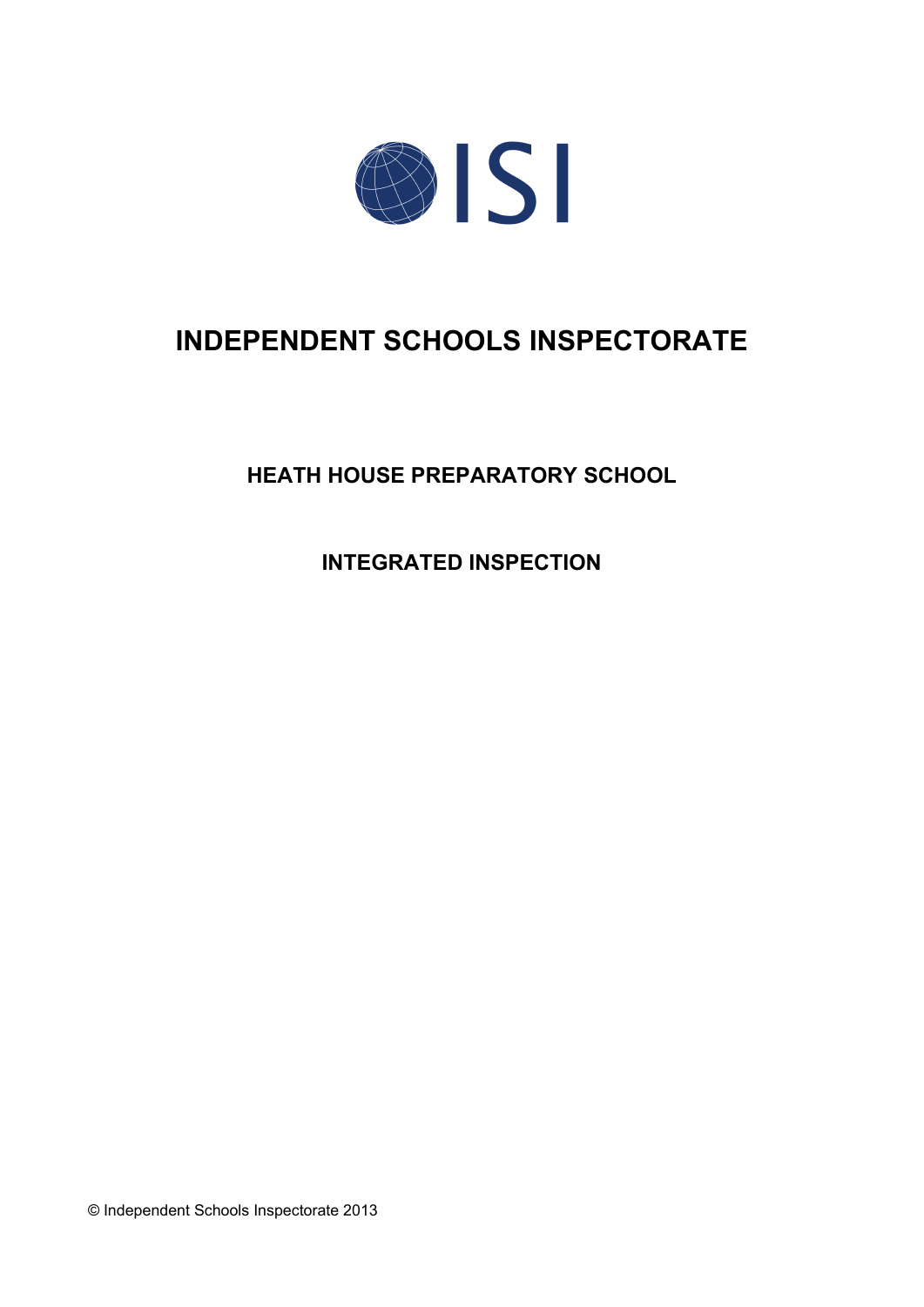

# **INDEPENDENT SCHOOLS INSPECTORATE**

**HEATH HOUSE PREPARATORY SCHOOL**

**INTEGRATED INSPECTION**

© Independent Schools Inspectorate 2013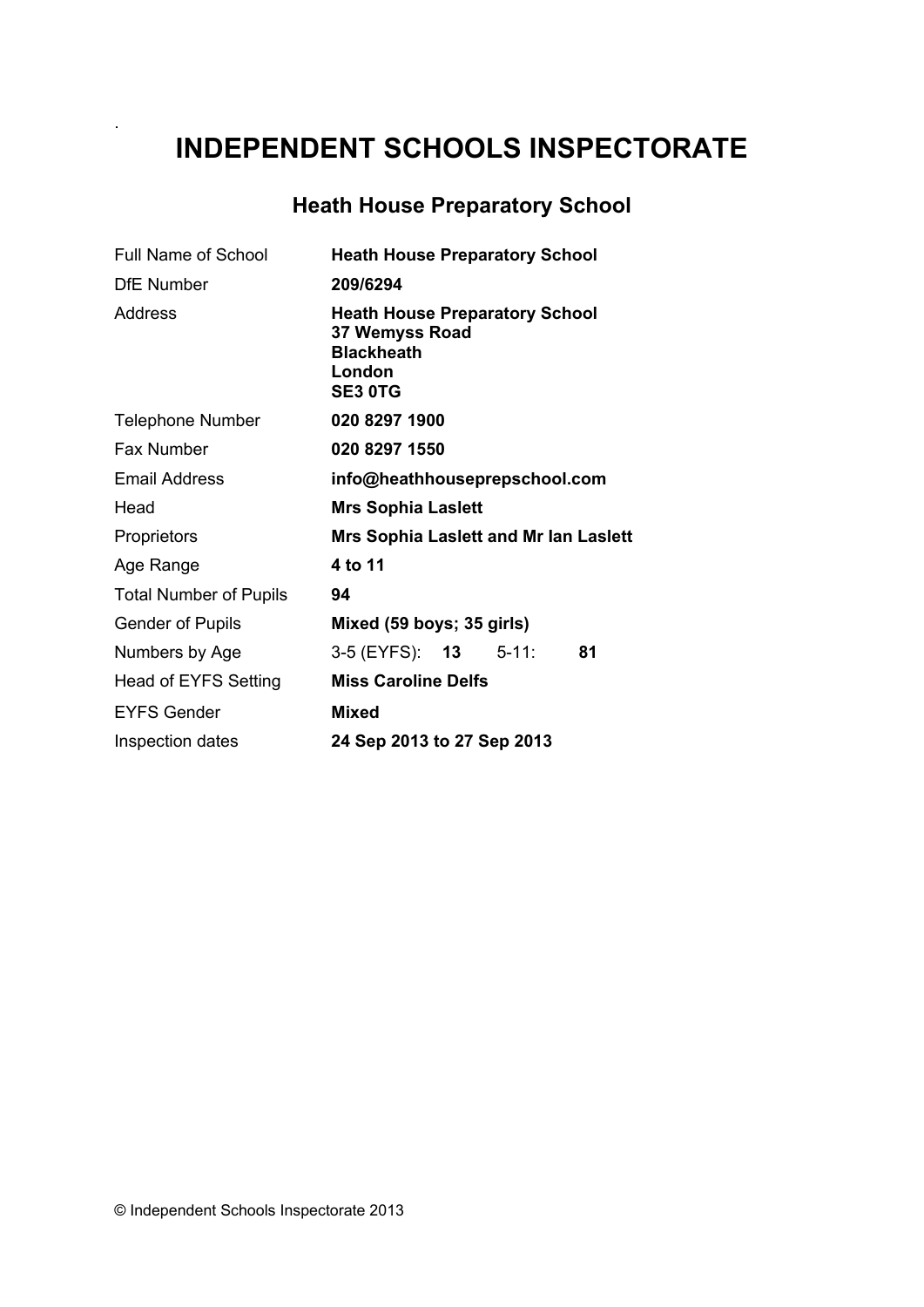# **INDEPENDENT SCHOOLS INSPECTORATE**

# **Heath House Preparatory School**

| <b>Full Name of School</b>    | <b>Heath House Preparatory School</b>                                                                    |
|-------------------------------|----------------------------------------------------------------------------------------------------------|
| <b>DfE Number</b>             | 209/6294                                                                                                 |
| Address                       | <b>Heath House Preparatory School</b><br>37 Wemyss Road<br><b>Blackheath</b><br>London<br><b>SE3 OTG</b> |
| <b>Telephone Number</b>       | 020 8297 1900                                                                                            |
| <b>Fax Number</b>             | 020 8297 1550                                                                                            |
| <b>Email Address</b>          | info@heathhouseprepschool.com                                                                            |
| Head                          | <b>Mrs Sophia Laslett</b>                                                                                |
| Proprietors                   | <b>Mrs Sophia Laslett and Mr Ian Laslett</b>                                                             |
| Age Range                     | 4 to 11                                                                                                  |
| <b>Total Number of Pupils</b> | 94                                                                                                       |
| <b>Gender of Pupils</b>       | Mixed (59 boys; 35 girls)                                                                                |
| Numbers by Age                | 3-5 (EYFS): <b>13</b><br>$5 - 11$ :<br>81                                                                |
| Head of EYFS Setting          | <b>Miss Caroline Delfs</b>                                                                               |
| <b>EYFS Gender</b>            | <b>Mixed</b>                                                                                             |
| Inspection dates              | 24 Sep 2013 to 27 Sep 2013                                                                               |

.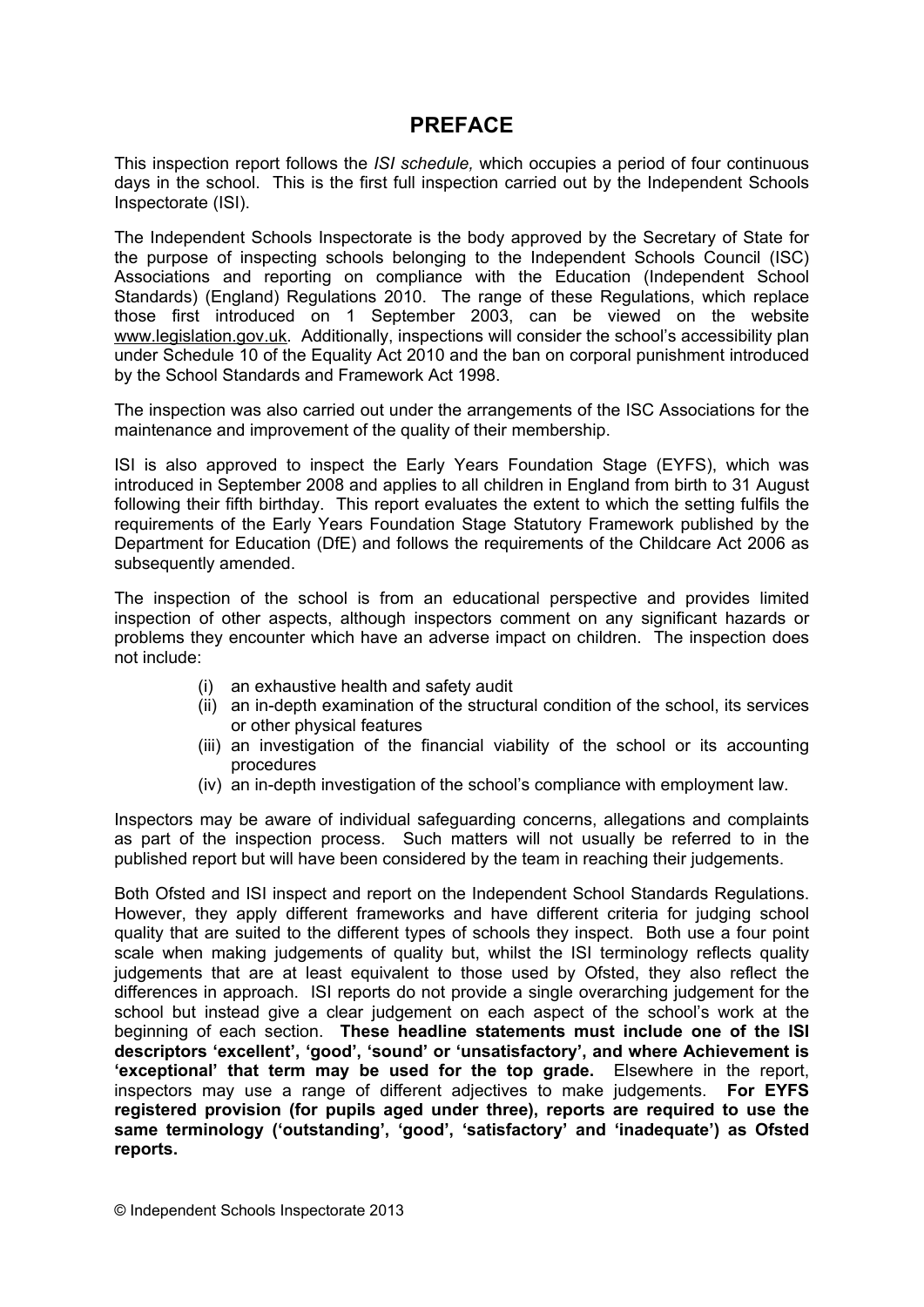# **PREFACE**

This inspection report follows the *ISI schedule,* which occupies a period of four continuous days in the school. This is the first full inspection carried out by the Independent Schools Inspectorate (ISI).

The Independent Schools Inspectorate is the body approved by the Secretary of State for the purpose of inspecting schools belonging to the Independent Schools Council (ISC) Associations and reporting on compliance with the Education (Independent School Standards) (England) Regulations 2010. The range of these Regulations, which replace those first introduced on 1 September 2003, can be viewed on the website [www.legislation.gov.uk.](http://www.legislation.gov.uk) Additionally, inspections will consider the school's accessibility plan under Schedule 10 of the Equality Act 2010 and the ban on corporal punishment introduced by the School Standards and Framework Act 1998.

The inspection was also carried out under the arrangements of the ISC Associations for the maintenance and improvement of the quality of their membership.

ISI is also approved to inspect the Early Years Foundation Stage (EYFS), which was introduced in September 2008 and applies to all children in England from birth to 31 August following their fifth birthday. This report evaluates the extent to which the setting fulfils the requirements of the Early Years Foundation Stage Statutory Framework published by the Department for Education (DfE) and follows the requirements of the Childcare Act 2006 as subsequently amended.

The inspection of the school is from an educational perspective and provides limited inspection of other aspects, although inspectors comment on any significant hazards or problems they encounter which have an adverse impact on children. The inspection does not include:

- (i) an exhaustive health and safety audit
- (ii) an in-depth examination of the structural condition of the school, its services or other physical features
- (iii) an investigation of the financial viability of the school or its accounting procedures
- (iv) an in-depth investigation of the school's compliance with employment law.

Inspectors may be aware of individual safeguarding concerns, allegations and complaints as part of the inspection process. Such matters will not usually be referred to in the published report but will have been considered by the team in reaching their judgements.

Both Ofsted and ISI inspect and report on the Independent School Standards Regulations. However, they apply different frameworks and have different criteria for judging school quality that are suited to the different types of schools they inspect. Both use a four point scale when making judgements of quality but, whilst the ISI terminology reflects quality judgements that are at least equivalent to those used by Ofsted, they also reflect the differences in approach. ISI reports do not provide a single overarching judgement for the school but instead give a clear judgement on each aspect of the school's work at the beginning of each section. **These headline statements must include one of the ISI descriptors 'excellent', 'good', 'sound' or 'unsatisfactory', and where Achievement is 'exceptional' that term may be used for the top grade.** Elsewhere in the report, inspectors may use a range of different adjectives to make judgements. **For EYFS registered provision (for pupils aged under three), reports are required to use the same terminology ('outstanding', 'good', 'satisfactory' and 'inadequate') as Ofsted reports.**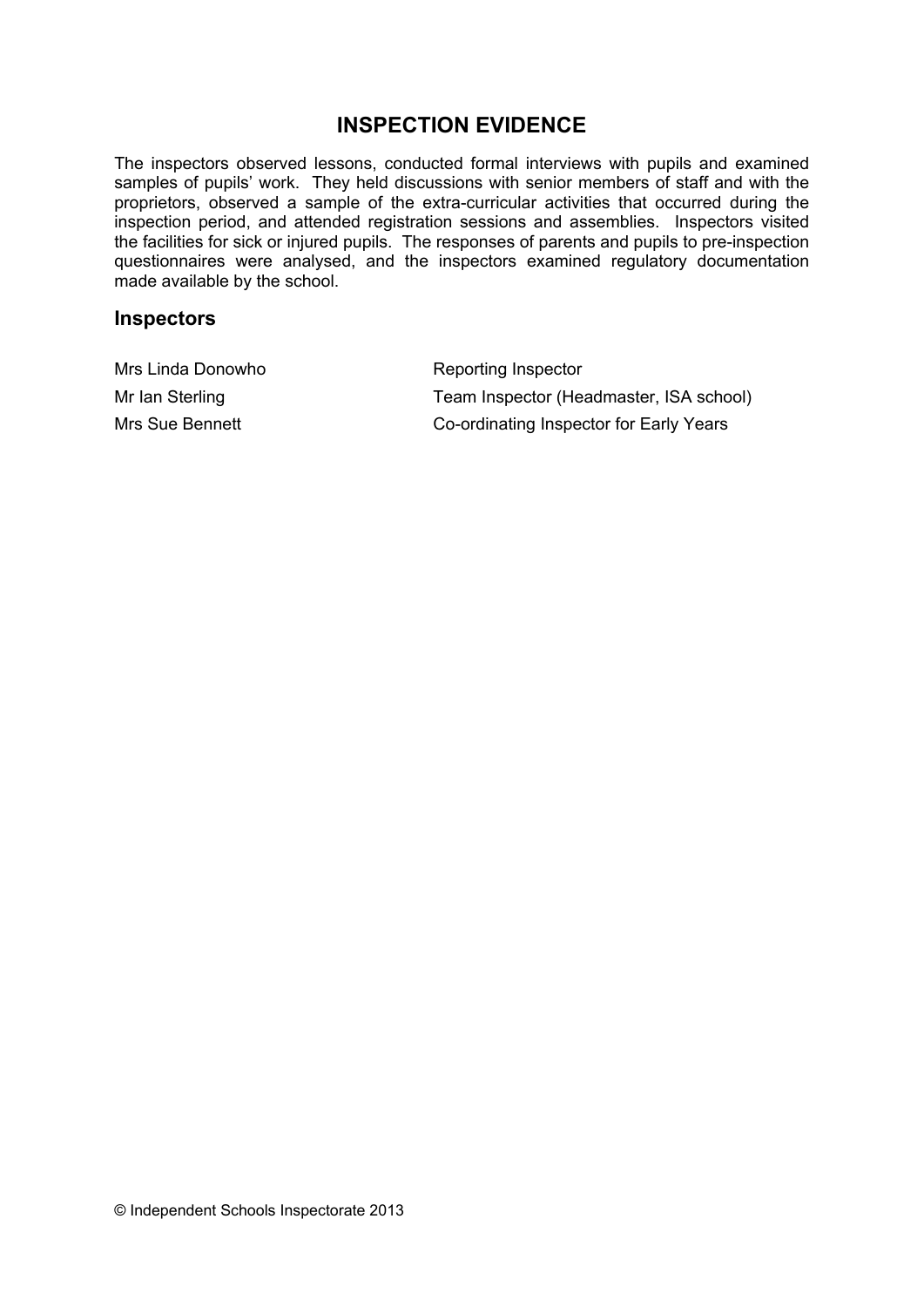# **INSPECTION EVIDENCE**

The inspectors observed lessons, conducted formal interviews with pupils and examined samples of pupils' work. They held discussions with senior members of staff and with the proprietors, observed a sample of the extra-curricular activities that occurred during the inspection period, and attended registration sessions and assemblies. Inspectors visited the facilities for sick or injured pupils. The responses of parents and pupils to pre-inspection questionnaires were analysed, and the inspectors examined regulatory documentation made available by the school.

#### **Inspectors**

| Mrs Linda Donowho | Reporting Inspector                     |
|-------------------|-----------------------------------------|
| Mr Ian Sterling   | Team Inspector (Headmaster, ISA school) |
| Mrs Sue Bennett   | Co-ordinating Inspector for Early Years |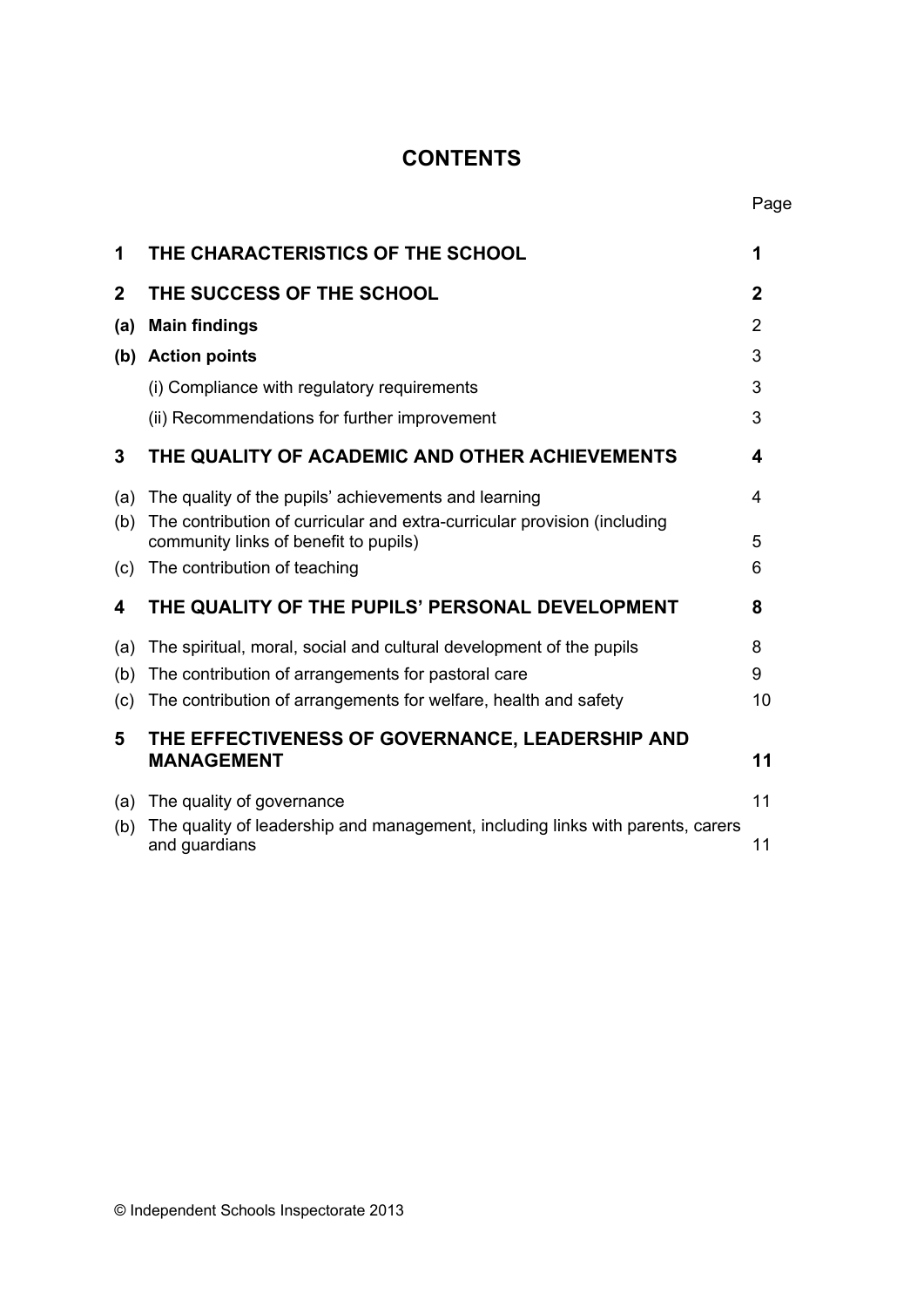# **CONTENTS**

Page

| 1            | THE CHARACTERISTICS OF THE SCHOOL                                                                                 | 1              |
|--------------|-------------------------------------------------------------------------------------------------------------------|----------------|
| $\mathbf{2}$ | THE SUCCESS OF THE SCHOOL                                                                                         | $\mathbf 2$    |
| (a)          | <b>Main findings</b>                                                                                              | $\overline{2}$ |
| (b)          | <b>Action points</b>                                                                                              | 3              |
|              | (i) Compliance with regulatory requirements                                                                       | 3              |
|              | (ii) Recommendations for further improvement                                                                      | 3              |
| 3            | THE QUALITY OF ACADEMIC AND OTHER ACHIEVEMENTS                                                                    | 4              |
| (a)          | The quality of the pupils' achievements and learning                                                              | 4              |
| (b)          | The contribution of curricular and extra-curricular provision (including<br>community links of benefit to pupils) | 5              |
| (c)          | The contribution of teaching                                                                                      | 6              |
| 4            | THE QUALITY OF THE PUPILS' PERSONAL DEVELOPMENT                                                                   | 8              |
| (a)          | The spiritual, moral, social and cultural development of the pupils                                               | 8              |
| (b)          | The contribution of arrangements for pastoral care                                                                | 9              |
| (c)          | The contribution of arrangements for welfare, health and safety                                                   | 10             |
| 5            | THE EFFECTIVENESS OF GOVERNANCE, LEADERSHIP AND<br><b>MANAGEMENT</b>                                              | 11             |
| (a)          | The quality of governance                                                                                         | 11             |
| (b)          | The quality of leadership and management, including links with parents, carers<br>and guardians                   | 11             |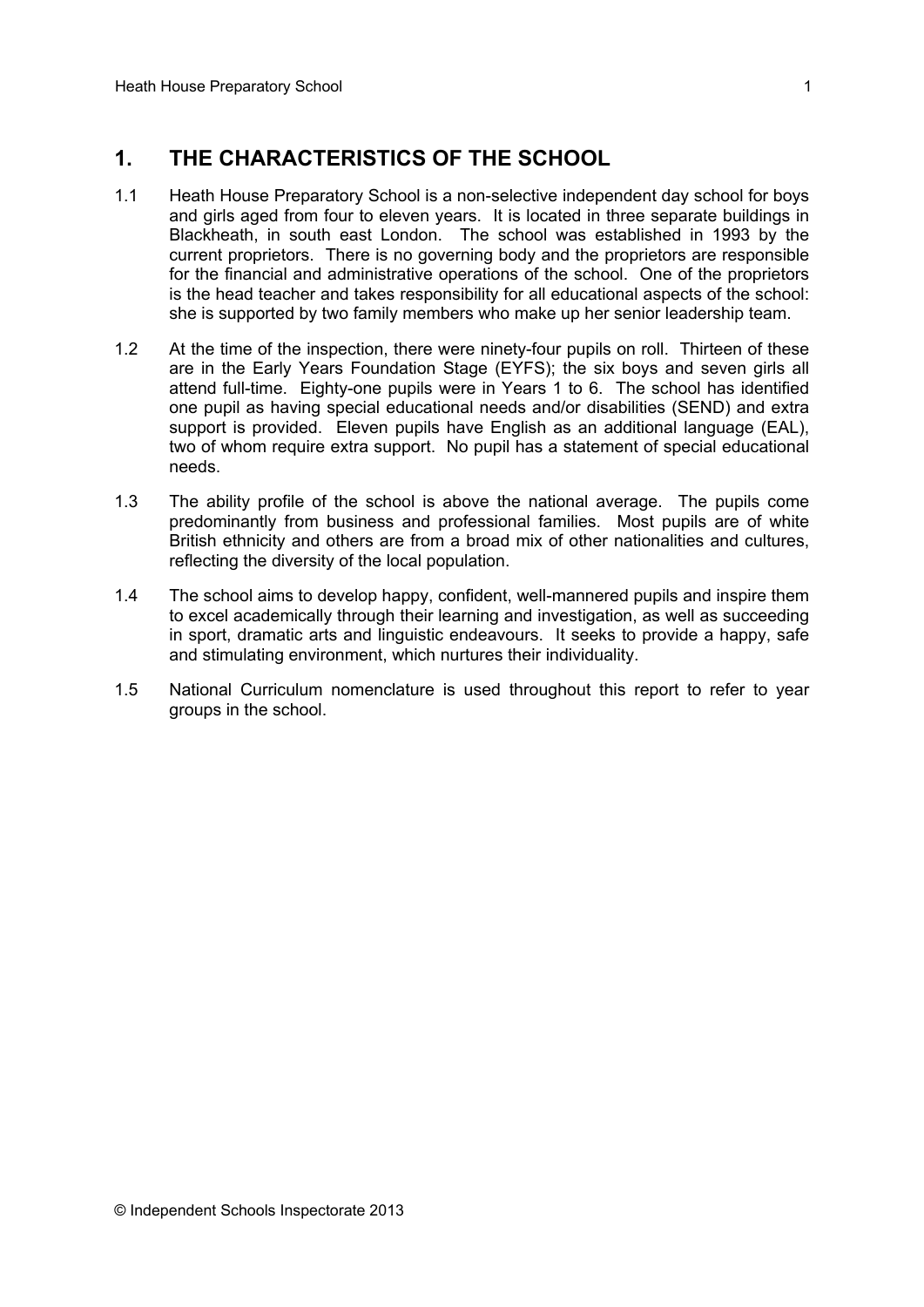# **1. THE CHARACTERISTICS OF THE SCHOOL**

- 1.1 Heath House Preparatory School is a non-selective independent day school for boys and girls aged from four to eleven years. It is located in three separate buildings in Blackheath, in south east London. The school was established in 1993 by the current proprietors. There is no governing body and the proprietors are responsible for the financial and administrative operations of the school. One of the proprietors is the head teacher and takes responsibility for all educational aspects of the school: she is supported by two family members who make up her senior leadership team.
- 1.2 At the time of the inspection, there were ninety-four pupils on roll. Thirteen of these are in the Early Years Foundation Stage (EYFS); the six boys and seven girls all attend full-time. Eighty-one pupils were in Years 1 to 6. The school has identified one pupil as having special educational needs and/or disabilities (SEND) and extra support is provided. Eleven pupils have English as an additional language (EAL), two of whom require extra support. No pupil has a statement of special educational needs.
- 1.3 The ability profile of the school is above the national average. The pupils come predominantly from business and professional families. Most pupils are of white British ethnicity and others are from a broad mix of other nationalities and cultures, reflecting the diversity of the local population.
- 1.4 The school aims to develop happy, confident, well-mannered pupils and inspire them to excel academically through their learning and investigation, as well as succeeding in sport, dramatic arts and linguistic endeavours. It seeks to provide a happy, safe and stimulating environment, which nurtures their individuality.
- 1.5 National Curriculum nomenclature is used throughout this report to refer to year groups in the school.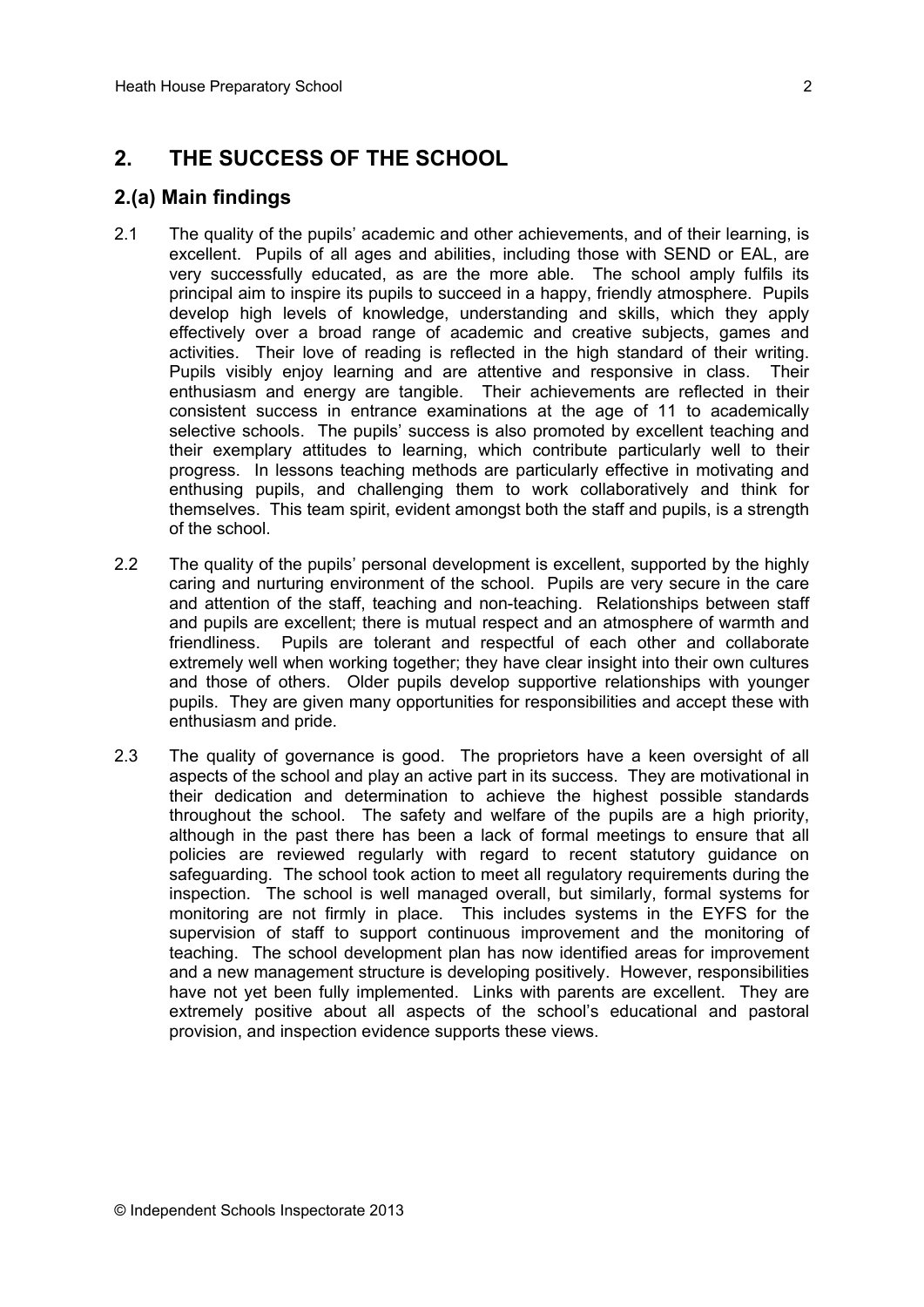# **2. THE SUCCESS OF THE SCHOOL**

## **2.(a) Main findings**

- 2.1 The quality of the pupils' academic and other achievements, and of their learning, is excellent. Pupils of all ages and abilities, including those with SEND or EAL, are very successfully educated, as are the more able. The school amply fulfils its principal aim to inspire its pupils to succeed in a happy, friendly atmosphere. Pupils develop high levels of knowledge, understanding and skills, which they apply effectively over a broad range of academic and creative subjects, games and activities. Their love of reading is reflected in the high standard of their writing. Pupils visibly enjoy learning and are attentive and responsive in class. Their enthusiasm and energy are tangible. Their achievements are reflected in their consistent success in entrance examinations at the age of 11 to academically selective schools. The pupils' success is also promoted by excellent teaching and their exemplary attitudes to learning, which contribute particularly well to their progress. In lessons teaching methods are particularly effective in motivating and enthusing pupils, and challenging them to work collaboratively and think for themselves. This team spirit, evident amongst both the staff and pupils, is a strength of the school.
- 2.2 The quality of the pupils' personal development is excellent, supported by the highly caring and nurturing environment of the school. Pupils are very secure in the care and attention of the staff, teaching and non-teaching. Relationships between staff and pupils are excellent; there is mutual respect and an atmosphere of warmth and friendliness. Pupils are tolerant and respectful of each other and collaborate extremely well when working together; they have clear insight into their own cultures and those of others. Older pupils develop supportive relationships with younger pupils. They are given many opportunities for responsibilities and accept these with enthusiasm and pride.
- 2.3 The quality of governance is good. The proprietors have a keen oversight of all aspects of the school and play an active part in its success. They are motivational in their dedication and determination to achieve the highest possible standards throughout the school. The safety and welfare of the pupils are a high priority, although in the past there has been a lack of formal meetings to ensure that all policies are reviewed regularly with regard to recent statutory guidance on safeguarding. The school took action to meet all regulatory requirements during the inspection. The school is well managed overall, but similarly, formal systems for monitoring are not firmly in place. This includes systems in the EYFS for the supervision of staff to support continuous improvement and the monitoring of teaching. The school development plan has now identified areas for improvement and a new management structure is developing positively. However, responsibilities have not yet been fully implemented. Links with parents are excellent. They are extremely positive about all aspects of the school's educational and pastoral provision, and inspection evidence supports these views.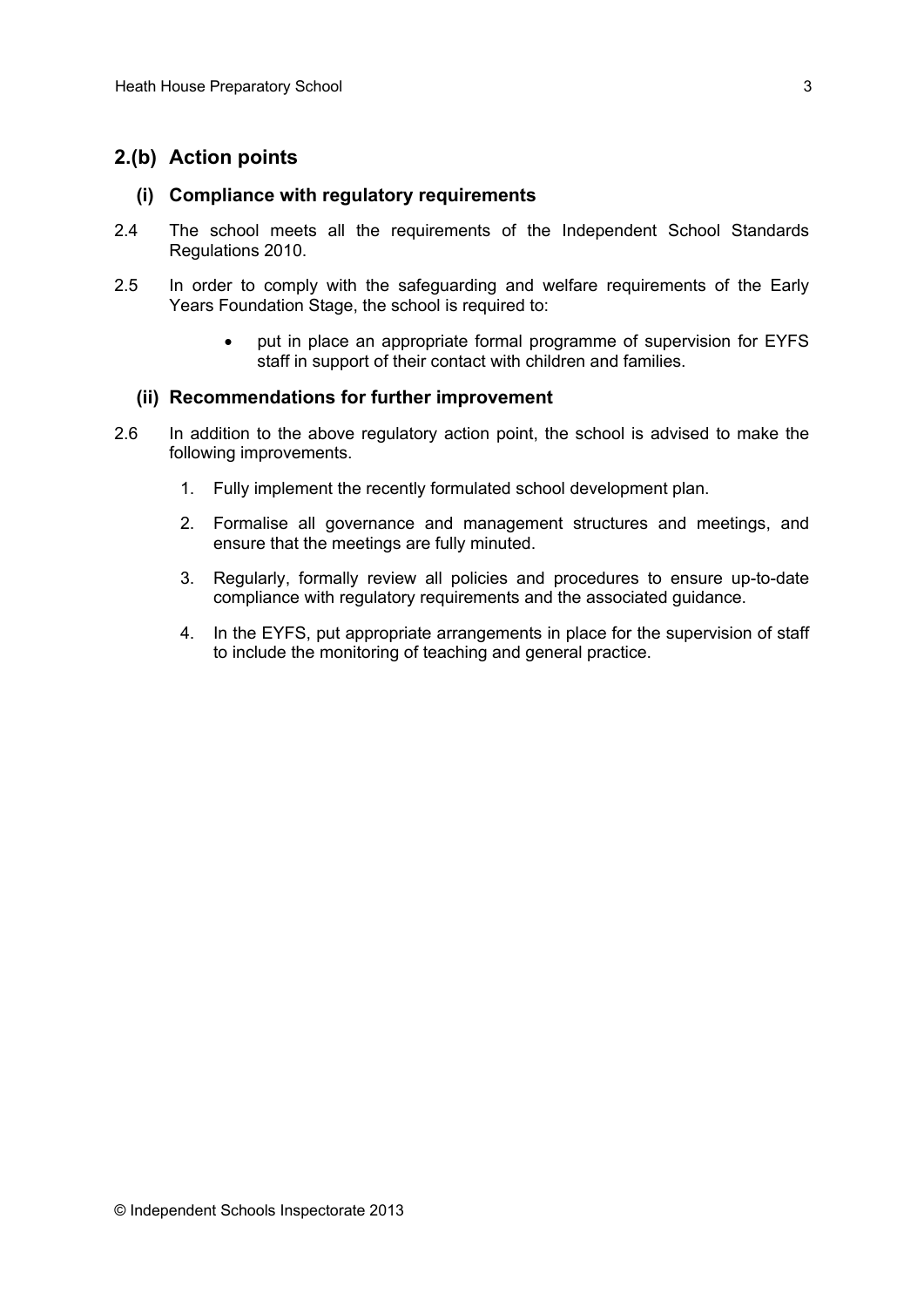### **2.(b) Action points**

#### **(i) Compliance with regulatory requirements**

- 2.4 The school meets all the requirements of the Independent School Standards Regulations 2010.
- 2.5 In order to comply with the safeguarding and welfare requirements of the Early Years Foundation Stage, the school is required to:
	- put in place an appropriate formal programme of supervision for EYFS staff in support of their contact with children and families.

#### **(ii) Recommendations for further improvement**

- 2.6 In addition to the above regulatory action point, the school is advised to make the following improvements.
	- 1. Fully implement the recently formulated school development plan.
	- 2. Formalise all governance and management structures and meetings, and ensure that the meetings are fully minuted.
	- 3. Regularly, formally review all policies and procedures to ensure up-to-date compliance with regulatory requirements and the associated guidance.
	- 4. In the EYFS, put appropriate arrangements in place for the supervision of staff to include the monitoring of teaching and general practice.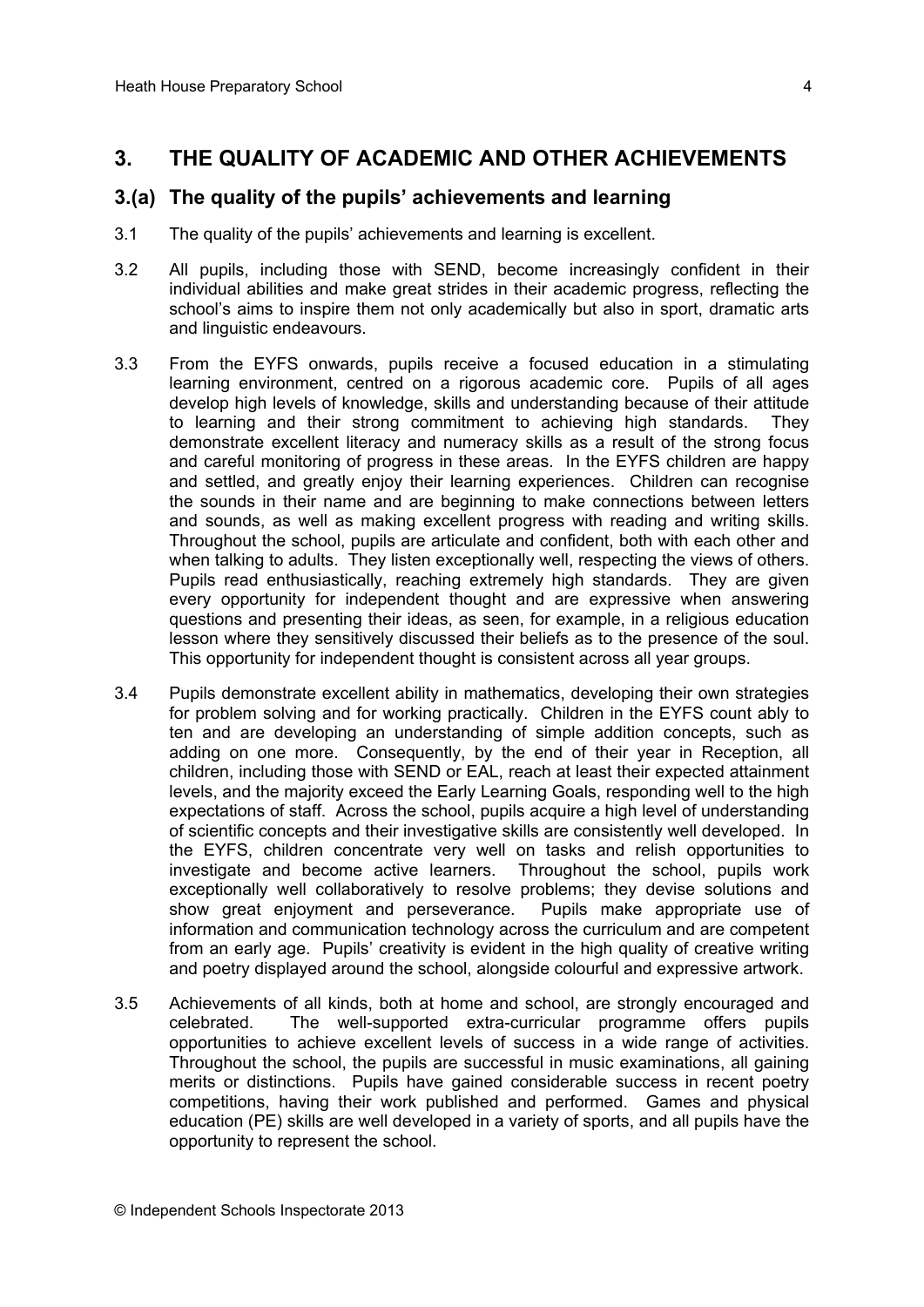### **3. THE QUALITY OF ACADEMIC AND OTHER ACHIEVEMENTS**

#### **3.(a) The quality of the pupils' achievements and learning**

- 3.1 The quality of the pupils' achievements and learning is excellent.
- 3.2 All pupils, including those with SEND, become increasingly confident in their individual abilities and make great strides in their academic progress, reflecting the school's aims to inspire them not only academically but also in sport, dramatic arts and linguistic endeavours.
- 3.3 From the EYFS onwards, pupils receive a focused education in a stimulating learning environment, centred on a rigorous academic core. Pupils of all ages develop high levels of knowledge, skills and understanding because of their attitude to learning and their strong commitment to achieving high standards. They demonstrate excellent literacy and numeracy skills as a result of the strong focus and careful monitoring of progress in these areas. In the EYFS children are happy and settled, and greatly enjoy their learning experiences. Children can recognise the sounds in their name and are beginning to make connections between letters and sounds, as well as making excellent progress with reading and writing skills. Throughout the school, pupils are articulate and confident, both with each other and when talking to adults. They listen exceptionally well, respecting the views of others. Pupils read enthusiastically, reaching extremely high standards. They are given every opportunity for independent thought and are expressive when answering questions and presenting their ideas, as seen, for example, in a religious education lesson where they sensitively discussed their beliefs as to the presence of the soul. This opportunity for independent thought is consistent across all year groups.
- 3.4 Pupils demonstrate excellent ability in mathematics, developing their own strategies for problem solving and for working practically. Children in the EYFS count ably to ten and are developing an understanding of simple addition concepts, such as adding on one more. Consequently, by the end of their year in Reception, all children, including those with SEND or EAL, reach at least their expected attainment levels, and the majority exceed the Early Learning Goals, responding well to the high expectations of staff. Across the school, pupils acquire a high level of understanding of scientific concepts and their investigative skills are consistently well developed. In the EYFS, children concentrate very well on tasks and relish opportunities to investigate and become active learners. Throughout the school, pupils work exceptionally well collaboratively to resolve problems; they devise solutions and show great enjoyment and perseverance. Pupils make appropriate use of information and communication technology across the curriculum and are competent from an early age. Pupils' creativity is evident in the high quality of creative writing and poetry displayed around the school, alongside colourful and expressive artwork.
- 3.5 Achievements of all kinds, both at home and school, are strongly encouraged and celebrated. The well-supported extra-curricular programme offers pupils opportunities to achieve excellent levels of success in a wide range of activities. Throughout the school, the pupils are successful in music examinations, all gaining merits or distinctions. Pupils have gained considerable success in recent poetry competitions, having their work published and performed. Games and physical education (PE) skills are well developed in a variety of sports, and all pupils have the opportunity to represent the school.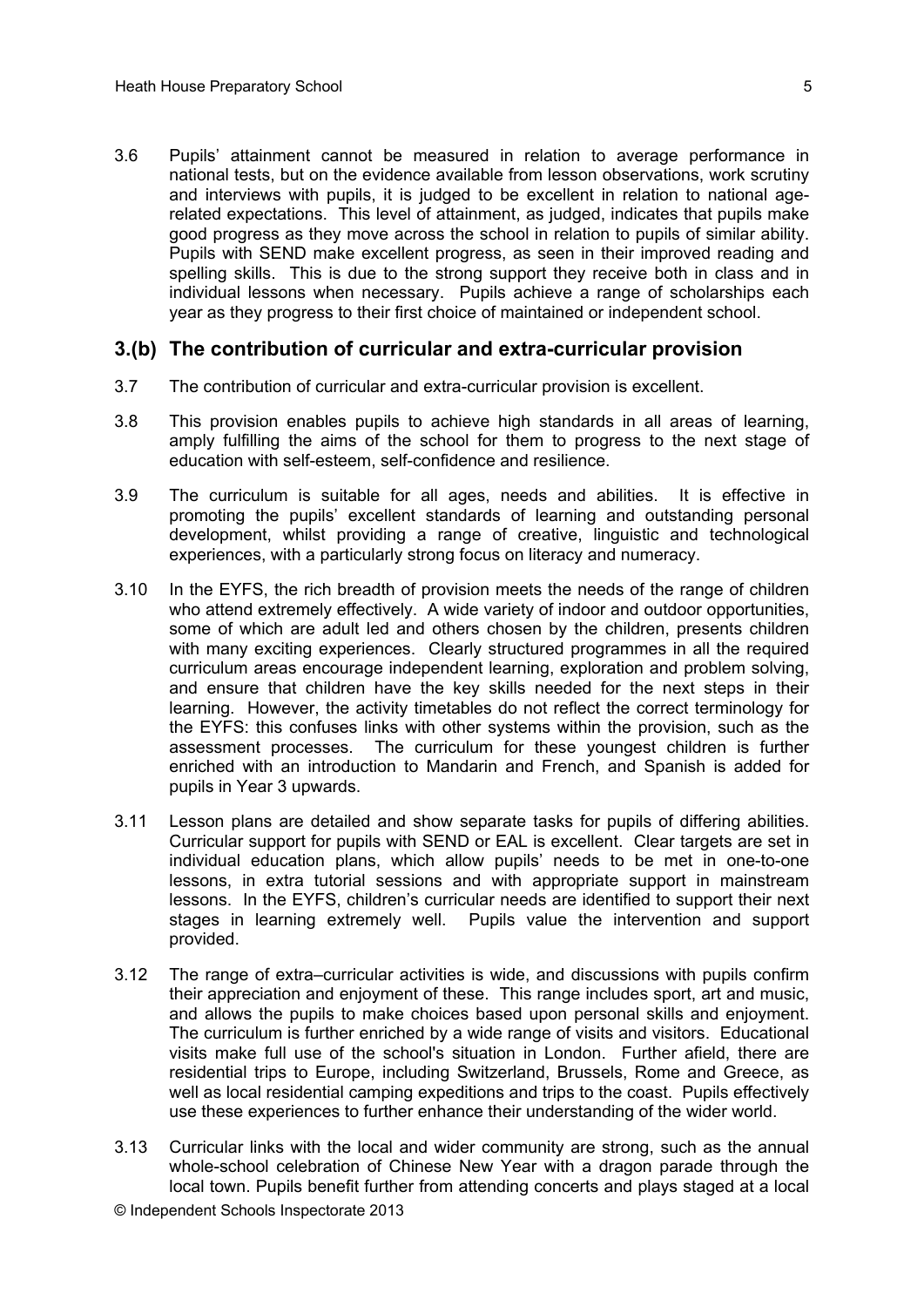3.6 Pupils' attainment cannot be measured in relation to average performance in national tests, but on the evidence available from lesson observations, work scrutiny and interviews with pupils, it is judged to be excellent in relation to national agerelated expectations. This level of attainment, as judged, indicates that pupils make good progress as they move across the school in relation to pupils of similar ability. Pupils with SEND make excellent progress, as seen in their improved reading and spelling skills. This is due to the strong support they receive both in class and in individual lessons when necessary. Pupils achieve a range of scholarships each year as they progress to their first choice of maintained or independent school.

#### **3.(b) The contribution of curricular and extra-curricular provision**

- 3.7 The contribution of curricular and extra-curricular provision is excellent.
- 3.8 This provision enables pupils to achieve high standards in all areas of learning, amply fulfilling the aims of the school for them to progress to the next stage of education with self-esteem, self-confidence and resilience.
- 3.9 The curriculum is suitable for all ages, needs and abilities. It is effective in promoting the pupils' excellent standards of learning and outstanding personal development, whilst providing a range of creative, linguistic and technological experiences, with a particularly strong focus on literacy and numeracy.
- 3.10 In the EYFS, the rich breadth of provision meets the needs of the range of children who attend extremely effectively. A wide variety of indoor and outdoor opportunities, some of which are adult led and others chosen by the children, presents children with many exciting experiences. Clearly structured programmes in all the required curriculum areas encourage independent learning, exploration and problem solving, and ensure that children have the key skills needed for the next steps in their learning. However, the activity timetables do not reflect the correct terminology for the EYFS: this confuses links with other systems within the provision, such as the assessment processes. The curriculum for these youngest children is further enriched with an introduction to Mandarin and French, and Spanish is added for pupils in Year 3 upwards.
- 3.11 Lesson plans are detailed and show separate tasks for pupils of differing abilities. Curricular support for pupils with SEND or EAL is excellent. Clear targets are set in individual education plans, which allow pupils' needs to be met in one-to-one lessons, in extra tutorial sessions and with appropriate support in mainstream lessons. In the EYFS, children's curricular needs are identified to support their next stages in learning extremely well. Pupils value the intervention and support provided.
- 3.12 The range of extra–curricular activities is wide, and discussions with pupils confirm their appreciation and enjoyment of these. This range includes sport, art and music, and allows the pupils to make choices based upon personal skills and enjoyment. The curriculum is further enriched by a wide range of visits and visitors. Educational visits make full use of the school's situation in London. Further afield, there are residential trips to Europe, including Switzerland, Brussels, Rome and Greece, as well as local residential camping expeditions and trips to the coast. Pupils effectively use these experiences to further enhance their understanding of the wider world.
- 3.13 Curricular links with the local and wider community are strong, such as the annual whole-school celebration of Chinese New Year with a dragon parade through the local town. Pupils benefit further from attending concerts and plays staged at a local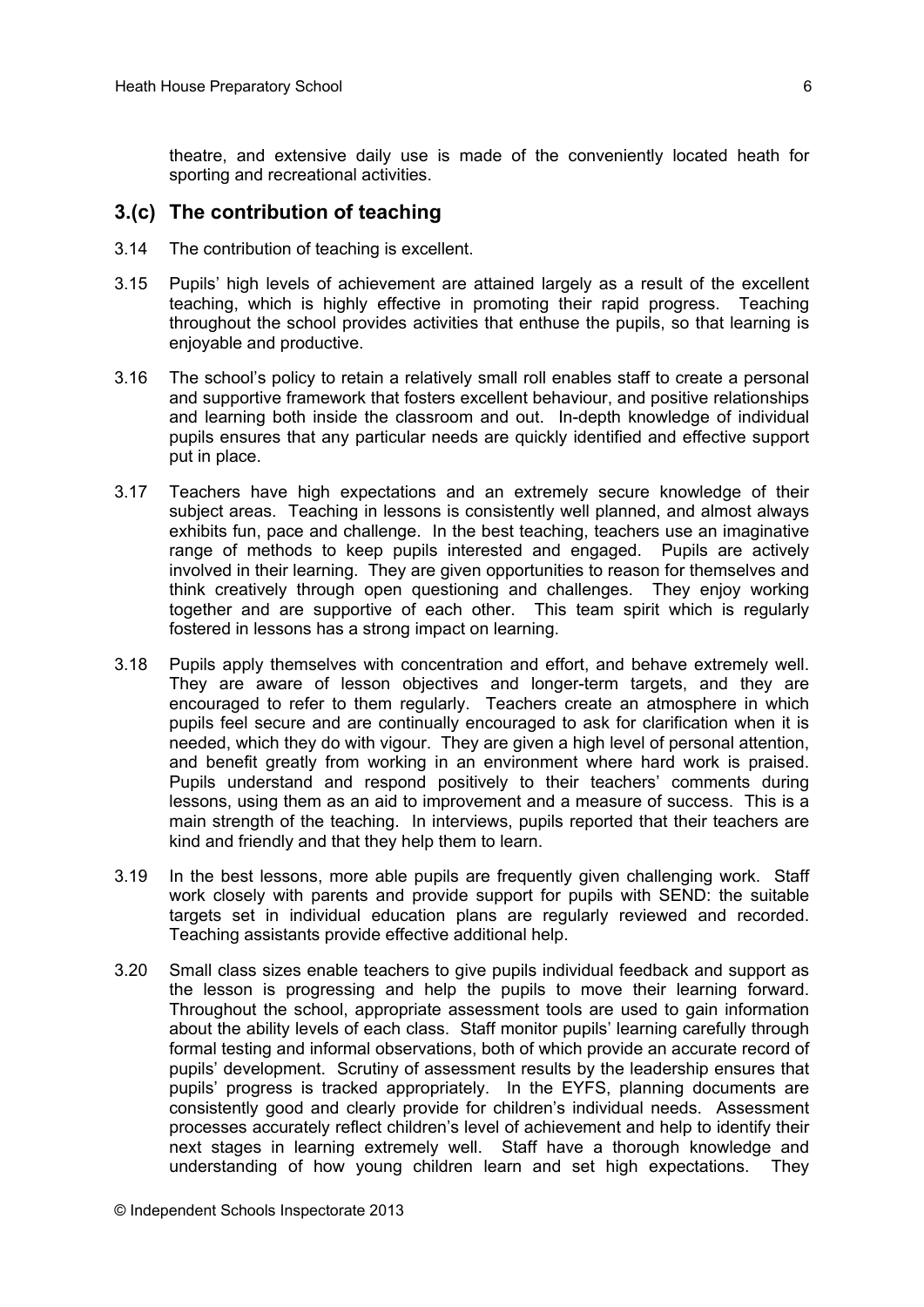theatre, and extensive daily use is made of the conveniently located heath for sporting and recreational activities.

#### **3.(c) The contribution of teaching**

- 3.14 The contribution of teaching is excellent.
- 3.15 Pupils' high levels of achievement are attained largely as a result of the excellent teaching, which is highly effective in promoting their rapid progress. Teaching throughout the school provides activities that enthuse the pupils, so that learning is enjoyable and productive.
- 3.16 The school's policy to retain a relatively small roll enables staff to create a personal and supportive framework that fosters excellent behaviour, and positive relationships and learning both inside the classroom and out. In-depth knowledge of individual pupils ensures that any particular needs are quickly identified and effective support put in place.
- 3.17 Teachers have high expectations and an extremely secure knowledge of their subject areas. Teaching in lessons is consistently well planned, and almost always exhibits fun, pace and challenge. In the best teaching, teachers use an imaginative range of methods to keep pupils interested and engaged. Pupils are actively involved in their learning. They are given opportunities to reason for themselves and think creatively through open questioning and challenges. They enjoy working together and are supportive of each other. This team spirit which is regularly fostered in lessons has a strong impact on learning.
- 3.18 Pupils apply themselves with concentration and effort, and behave extremely well. They are aware of lesson objectives and longer-term targets, and they are encouraged to refer to them regularly. Teachers create an atmosphere in which pupils feel secure and are continually encouraged to ask for clarification when it is needed, which they do with vigour. They are given a high level of personal attention, and benefit greatly from working in an environment where hard work is praised. Pupils understand and respond positively to their teachers' comments during lessons, using them as an aid to improvement and a measure of success. This is a main strength of the teaching. In interviews, pupils reported that their teachers are kind and friendly and that they help them to learn.
- 3.19 In the best lessons, more able pupils are frequently given challenging work. Staff work closely with parents and provide support for pupils with SEND: the suitable targets set in individual education plans are regularly reviewed and recorded. Teaching assistants provide effective additional help.
- 3.20 Small class sizes enable teachers to give pupils individual feedback and support as the lesson is progressing and help the pupils to move their learning forward. Throughout the school, appropriate assessment tools are used to gain information about the ability levels of each class. Staff monitor pupils' learning carefully through formal testing and informal observations, both of which provide an accurate record of pupils' development. Scrutiny of assessment results by the leadership ensures that pupils' progress is tracked appropriately. In the EYFS, planning documents are consistently good and clearly provide for children's individual needs. Assessment processes accurately reflect children's level of achievement and help to identify their next stages in learning extremely well. Staff have a thorough knowledge and understanding of how young children learn and set high expectations. They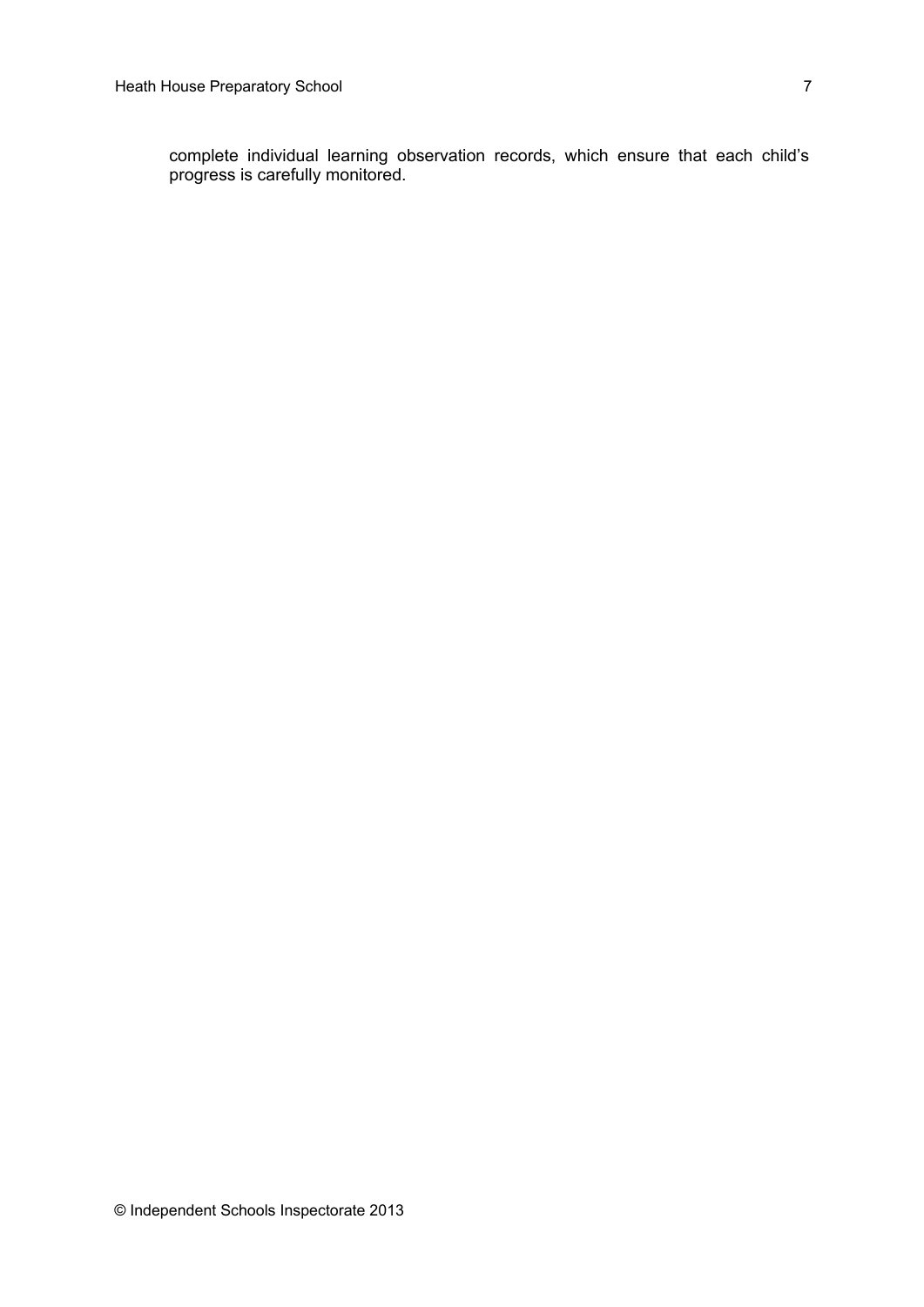complete individual learning observation records, which ensure that each child's progress is carefully monitored.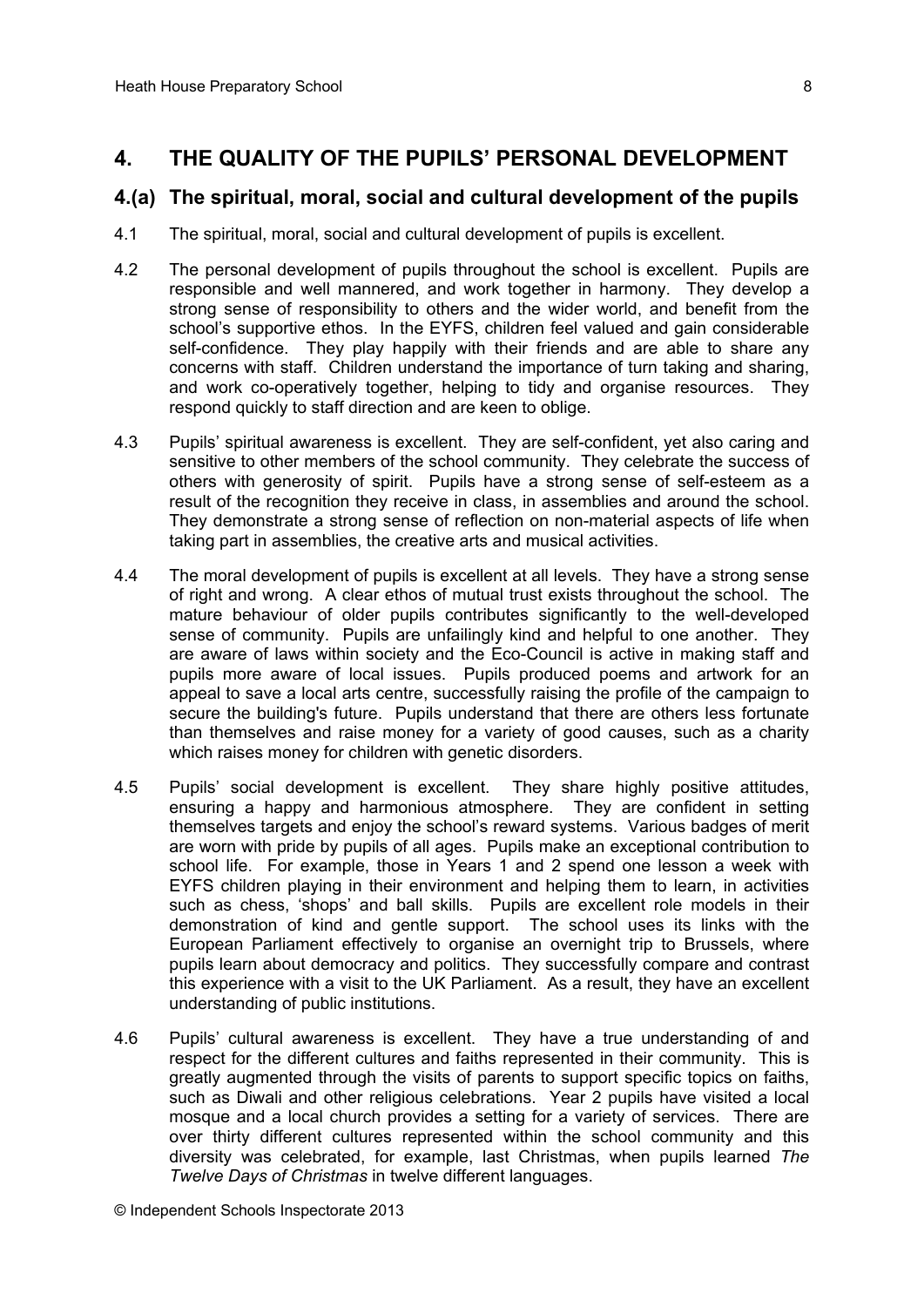#### **4. THE QUALITY OF THE PUPILS' PERSONAL DEVELOPMENT**

#### **4.(a) The spiritual, moral, social and cultural development of the pupils**

- 4.1 The spiritual, moral, social and cultural development of pupils is excellent.
- 4.2 The personal development of pupils throughout the school is excellent. Pupils are responsible and well mannered, and work together in harmony. They develop a strong sense of responsibility to others and the wider world, and benefit from the school's supportive ethos. In the EYFS, children feel valued and gain considerable self-confidence. They play happily with their friends and are able to share any concerns with staff. Children understand the importance of turn taking and sharing, and work co-operatively together, helping to tidy and organise resources. They respond quickly to staff direction and are keen to oblige.
- 4.3 Pupils' spiritual awareness is excellent. They are self-confident, yet also caring and sensitive to other members of the school community. They celebrate the success of others with generosity of spirit. Pupils have a strong sense of self-esteem as a result of the recognition they receive in class, in assemblies and around the school. They demonstrate a strong sense of reflection on non-material aspects of life when taking part in assemblies, the creative arts and musical activities.
- 4.4 The moral development of pupils is excellent at all levels. They have a strong sense of right and wrong. A clear ethos of mutual trust exists throughout the school. The mature behaviour of older pupils contributes significantly to the well-developed sense of community. Pupils are unfailingly kind and helpful to one another. They are aware of laws within society and the Eco-Council is active in making staff and pupils more aware of local issues. Pupils produced poems and artwork for an appeal to save a local arts centre, successfully raising the profile of the campaign to secure the building's future. Pupils understand that there are others less fortunate than themselves and raise money for a variety of good causes, such as a charity which raises money for children with genetic disorders.
- 4.5 Pupils' social development is excellent. They share highly positive attitudes, ensuring a happy and harmonious atmosphere. They are confident in setting themselves targets and enjoy the school's reward systems. Various badges of merit are worn with pride by pupils of all ages. Pupils make an exceptional contribution to school life. For example, those in Years 1 and 2 spend one lesson a week with EYFS children playing in their environment and helping them to learn, in activities such as chess, 'shops' and ball skills. Pupils are excellent role models in their demonstration of kind and gentle support. The school uses its links with the European Parliament effectively to organise an overnight trip to Brussels, where pupils learn about democracy and politics. They successfully compare and contrast this experience with a visit to the UK Parliament. As a result, they have an excellent understanding of public institutions.
- 4.6 Pupils' cultural awareness is excellent. They have a true understanding of and respect for the different cultures and faiths represented in their community. This is greatly augmented through the visits of parents to support specific topics on faiths, such as Diwali and other religious celebrations. Year 2 pupils have visited a local mosque and a local church provides a setting for a variety of services. There are over thirty different cultures represented within the school community and this diversity was celebrated, for example, last Christmas, when pupils learned *The Twelve Days of Christmas* in twelve different languages.

© Independent Schools Inspectorate 2013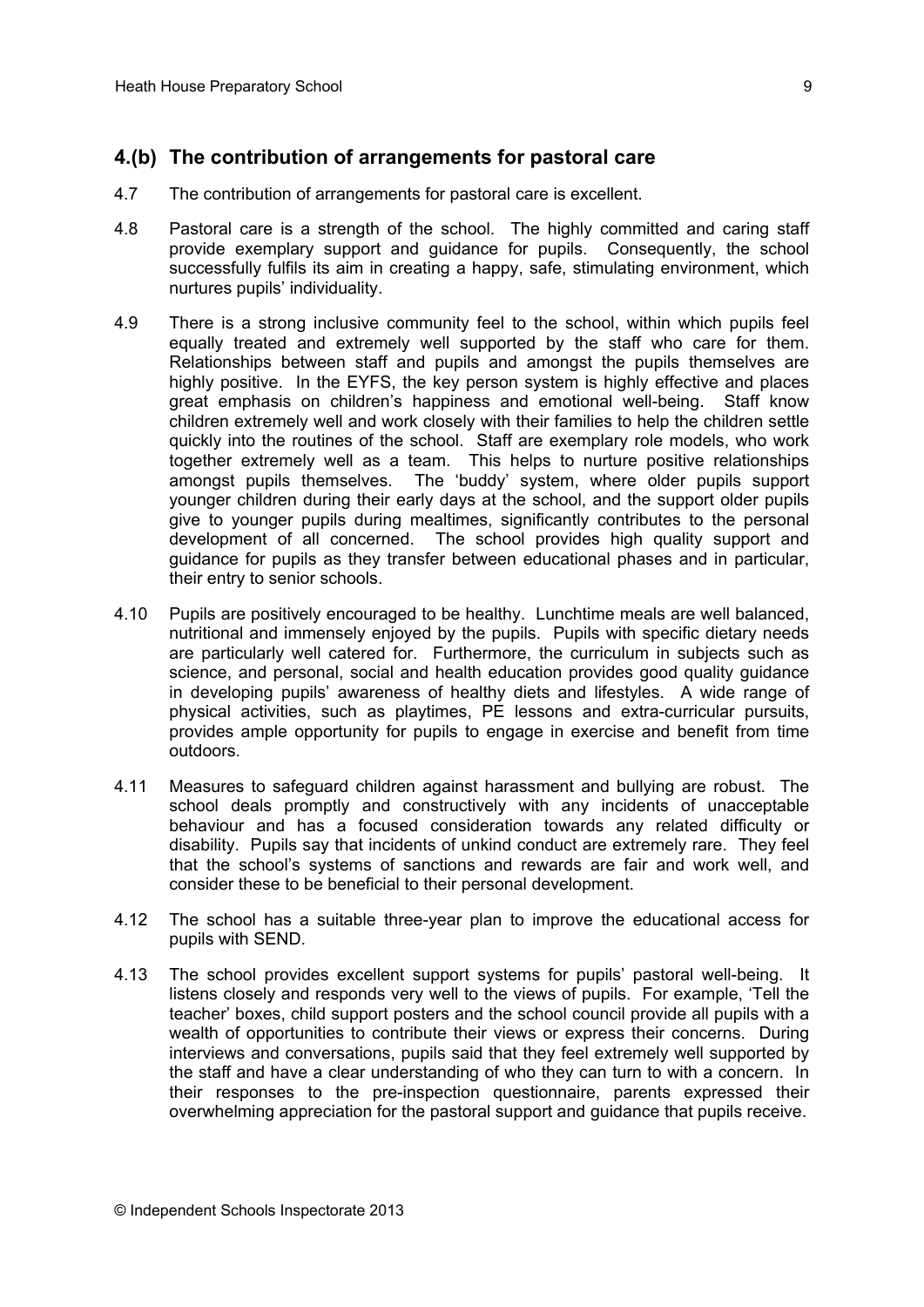### **4.(b) The contribution of arrangements for pastoral care**

- 4.7 The contribution of arrangements for pastoral care is excellent.
- 4.8 Pastoral care is a strength of the school. The highly committed and caring staff provide exemplary support and guidance for pupils. Consequently, the school successfully fulfils its aim in creating a happy, safe, stimulating environment, which nurtures pupils' individuality.
- 4.9 There is a strong inclusive community feel to the school, within which pupils feel equally treated and extremely well supported by the staff who care for them. Relationships between staff and pupils and amongst the pupils themselves are highly positive. In the EYFS, the key person system is highly effective and places great emphasis on children's happiness and emotional well-being. Staff know children extremely well and work closely with their families to help the children settle quickly into the routines of the school. Staff are exemplary role models, who work together extremely well as a team. This helps to nurture positive relationships amongst pupils themselves. The 'buddy' system, where older pupils support younger children during their early days at the school, and the support older pupils give to younger pupils during mealtimes, significantly contributes to the personal development of all concerned. The school provides high quality support and guidance for pupils as they transfer between educational phases and in particular, their entry to senior schools.
- 4.10 Pupils are positively encouraged to be healthy. Lunchtime meals are well balanced, nutritional and immensely enjoyed by the pupils. Pupils with specific dietary needs are particularly well catered for. Furthermore, the curriculum in subjects such as science, and personal, social and health education provides good quality guidance in developing pupils' awareness of healthy diets and lifestyles. A wide range of physical activities, such as playtimes, PE lessons and extra-curricular pursuits, provides ample opportunity for pupils to engage in exercise and benefit from time outdoors.
- 4.11 Measures to safeguard children against harassment and bullying are robust. The school deals promptly and constructively with any incidents of unacceptable behaviour and has a focused consideration towards any related difficulty or disability. Pupils say that incidents of unkind conduct are extremely rare. They feel that the school's systems of sanctions and rewards are fair and work well, and consider these to be beneficial to their personal development.
- 4.12 The school has a suitable three-year plan to improve the educational access for pupils with SEND.
- 4.13 The school provides excellent support systems for pupils' pastoral well-being. It listens closely and responds very well to the views of pupils. For example, 'Tell the teacher' boxes, child support posters and the school council provide all pupils with a wealth of opportunities to contribute their views or express their concerns. During interviews and conversations, pupils said that they feel extremely well supported by the staff and have a clear understanding of who they can turn to with a concern. In their responses to the pre-inspection questionnaire, parents expressed their overwhelming appreciation for the pastoral support and guidance that pupils receive.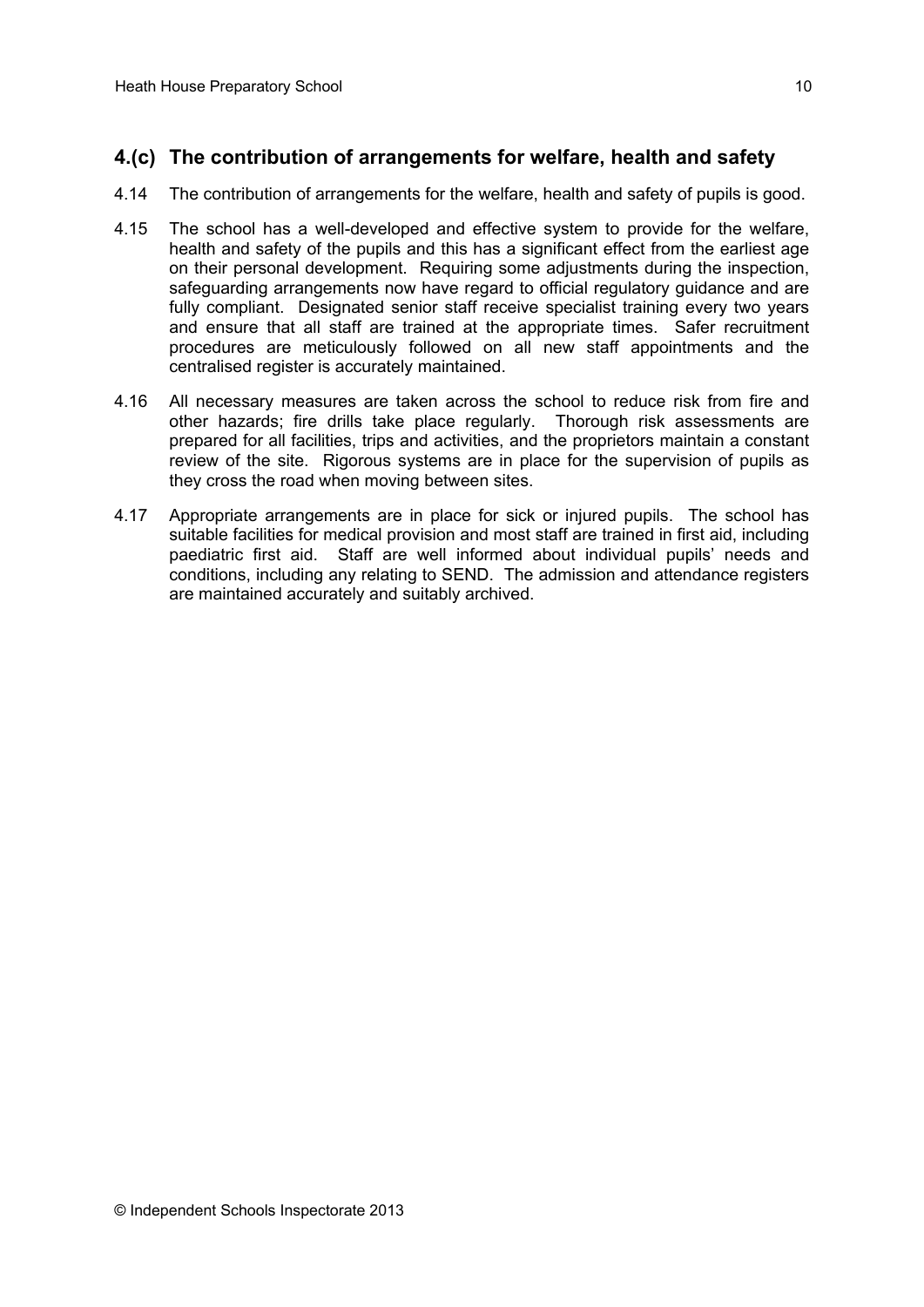## **4.(c) The contribution of arrangements for welfare, health and safety**

- 4.14 The contribution of arrangements for the welfare, health and safety of pupils is good.
- 4.15 The school has a well-developed and effective system to provide for the welfare, health and safety of the pupils and this has a significant effect from the earliest age on their personal development. Requiring some adjustments during the inspection, safeguarding arrangements now have regard to official regulatory guidance and are fully compliant. Designated senior staff receive specialist training every two years and ensure that all staff are trained at the appropriate times. Safer recruitment procedures are meticulously followed on all new staff appointments and the centralised register is accurately maintained.
- 4.16 All necessary measures are taken across the school to reduce risk from fire and other hazards; fire drills take place regularly. Thorough risk assessments are prepared for all facilities, trips and activities, and the proprietors maintain a constant review of the site. Rigorous systems are in place for the supervision of pupils as they cross the road when moving between sites.
- 4.17 Appropriate arrangements are in place for sick or injured pupils. The school has suitable facilities for medical provision and most staff are trained in first aid, including paediatric first aid. Staff are well informed about individual pupils' needs and conditions, including any relating to SEND. The admission and attendance registers are maintained accurately and suitably archived.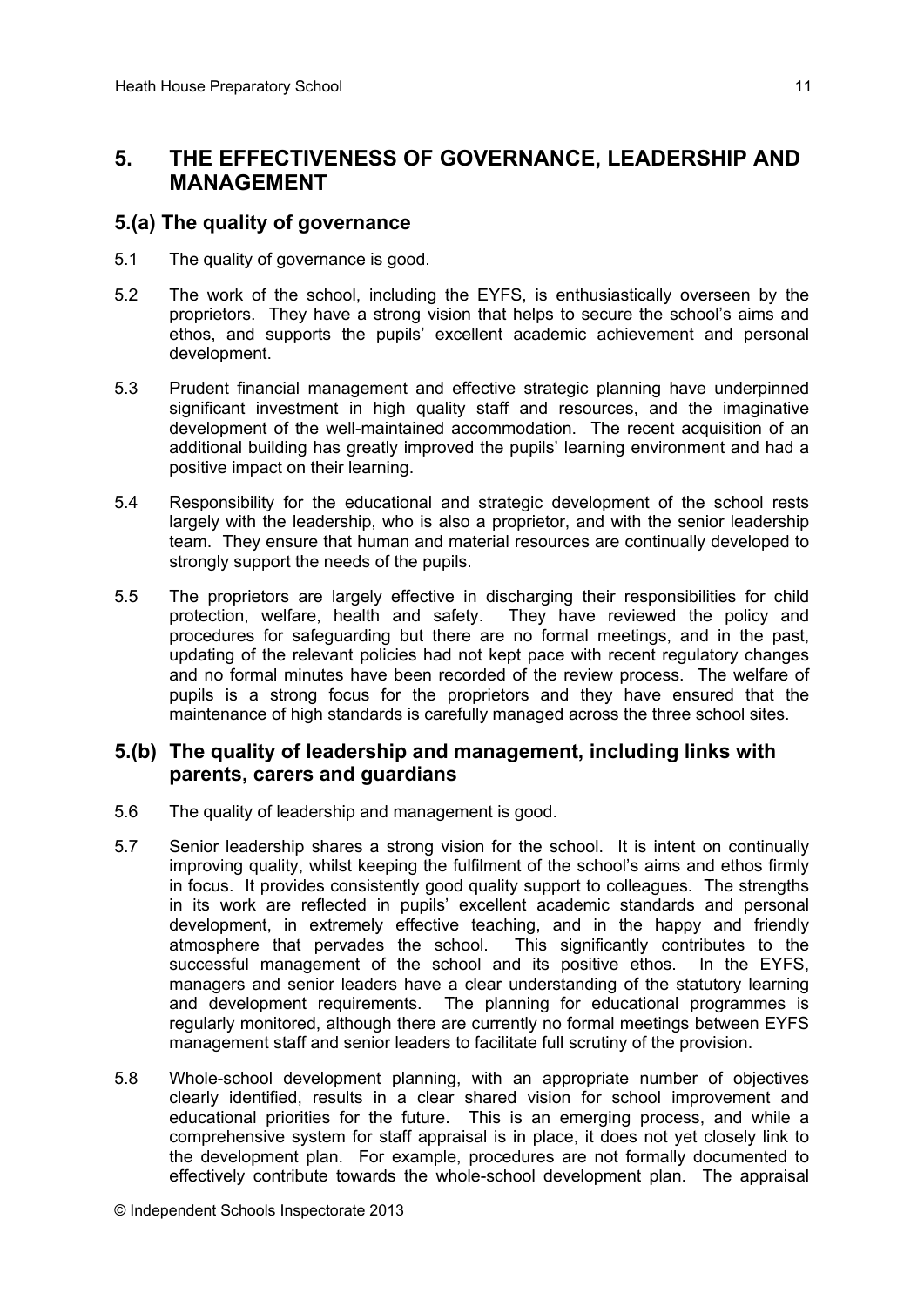# **5. THE EFFECTIVENESS OF GOVERNANCE, LEADERSHIP AND MANAGEMENT**

#### **5.(a) The quality of governance**

- 5.1 The quality of governance is good.
- 5.2 The work of the school, including the EYFS, is enthusiastically overseen by the proprietors. They have a strong vision that helps to secure the school's aims and ethos, and supports the pupils' excellent academic achievement and personal development.
- 5.3 Prudent financial management and effective strategic planning have underpinned significant investment in high quality staff and resources, and the imaginative development of the well-maintained accommodation. The recent acquisition of an additional building has greatly improved the pupils' learning environment and had a positive impact on their learning.
- 5.4 Responsibility for the educational and strategic development of the school rests largely with the leadership, who is also a proprietor, and with the senior leadership team. They ensure that human and material resources are continually developed to strongly support the needs of the pupils.
- 5.5 The proprietors are largely effective in discharging their responsibilities for child protection, welfare, health and safety. They have reviewed the policy and procedures for safeguarding but there are no formal meetings, and in the past, updating of the relevant policies had not kept pace with recent regulatory changes and no formal minutes have been recorded of the review process. The welfare of pupils is a strong focus for the proprietors and they have ensured that the maintenance of high standards is carefully managed across the three school sites.

#### **5.(b) The quality of leadership and management, including links with parents, carers and guardians**

- 5.6 The quality of leadership and management is good.
- 5.7 Senior leadership shares a strong vision for the school. It is intent on continually improving quality, whilst keeping the fulfilment of the school's aims and ethos firmly in focus. It provides consistently good quality support to colleagues. The strengths in its work are reflected in pupils' excellent academic standards and personal development, in extremely effective teaching, and in the happy and friendly atmosphere that pervades the school. This significantly contributes to the successful management of the school and its positive ethos. In the EYFS, managers and senior leaders have a clear understanding of the statutory learning and development requirements. The planning for educational programmes is regularly monitored, although there are currently no formal meetings between EYFS management staff and senior leaders to facilitate full scrutiny of the provision.
- 5.8 Whole-school development planning, with an appropriate number of objectives clearly identified, results in a clear shared vision for school improvement and educational priorities for the future. This is an emerging process, and while a comprehensive system for staff appraisal is in place, it does not yet closely link to the development plan. For example, procedures are not formally documented to effectively contribute towards the whole-school development plan. The appraisal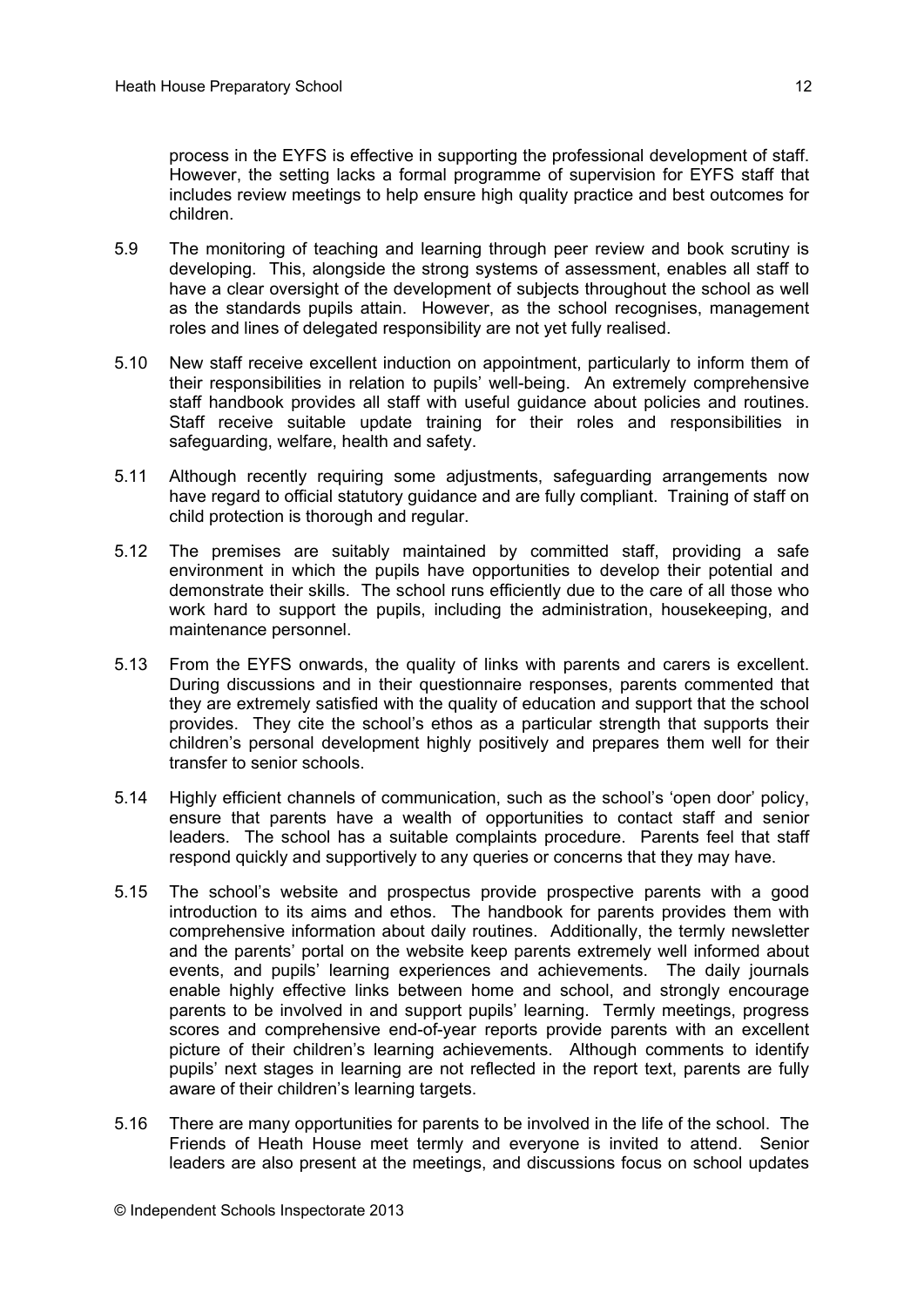process in the EYFS is effective in supporting the professional development of staff. However, the setting lacks a formal programme of supervision for EYFS staff that includes review meetings to help ensure high quality practice and best outcomes for children.

- 5.9 The monitoring of teaching and learning through peer review and book scrutiny is developing. This, alongside the strong systems of assessment, enables all staff to have a clear oversight of the development of subjects throughout the school as well as the standards pupils attain. However, as the school recognises, management roles and lines of delegated responsibility are not yet fully realised.
- 5.10 New staff receive excellent induction on appointment, particularly to inform them of their responsibilities in relation to pupils' well-being. An extremely comprehensive staff handbook provides all staff with useful guidance about policies and routines. Staff receive suitable update training for their roles and responsibilities in safeguarding, welfare, health and safety.
- 5.11 Although recently requiring some adjustments, safeguarding arrangements now have regard to official statutory guidance and are fully compliant. Training of staff on child protection is thorough and regular.
- 5.12 The premises are suitably maintained by committed staff, providing a safe environment in which the pupils have opportunities to develop their potential and demonstrate their skills. The school runs efficiently due to the care of all those who work hard to support the pupils, including the administration, housekeeping, and maintenance personnel.
- 5.13 From the EYFS onwards, the quality of links with parents and carers is excellent. During discussions and in their questionnaire responses, parents commented that they are extremely satisfied with the quality of education and support that the school provides. They cite the school's ethos as a particular strength that supports their children's personal development highly positively and prepares them well for their transfer to senior schools.
- 5.14 Highly efficient channels of communication, such as the school's 'open door' policy, ensure that parents have a wealth of opportunities to contact staff and senior leaders. The school has a suitable complaints procedure. Parents feel that staff respond quickly and supportively to any queries or concerns that they may have.
- 5.15 The school's website and prospectus provide prospective parents with a good introduction to its aims and ethos. The handbook for parents provides them with comprehensive information about daily routines. Additionally, the termly newsletter and the parents' portal on the website keep parents extremely well informed about events, and pupils' learning experiences and achievements. The daily journals enable highly effective links between home and school, and strongly encourage parents to be involved in and support pupils' learning. Termly meetings, progress scores and comprehensive end-of-year reports provide parents with an excellent picture of their children's learning achievements. Although comments to identify pupils' next stages in learning are not reflected in the report text, parents are fully aware of their children's learning targets.
- 5.16 There are many opportunities for parents to be involved in the life of the school. The Friends of Heath House meet termly and everyone is invited to attend. Senior leaders are also present at the meetings, and discussions focus on school updates